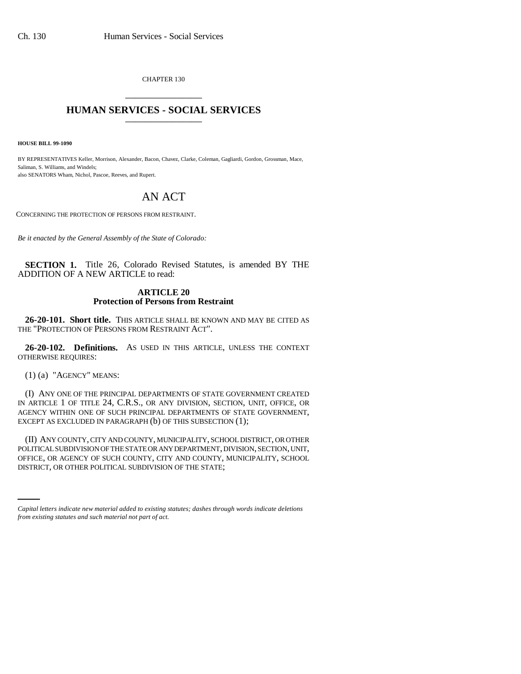CHAPTER 130 \_\_\_\_\_\_\_\_\_\_\_\_\_\_\_

## **HUMAN SERVICES - SOCIAL SERVICES** \_\_\_\_\_\_\_\_\_\_\_\_\_\_\_

**HOUSE BILL 99-1090** 

BY REPRESENTATIVES Keller, Morrison, Alexander, Bacon, Chavez, Clarke, Coleman, Gagliardi, Gordon, Grossman, Mace, Saliman, S. Williams, and Windels; also SENATORS Wham, Nichol, Pascoe, Reeves, and Rupert.

## AN ACT

CONCERNING THE PROTECTION OF PERSONS FROM RESTRAINT.

*Be it enacted by the General Assembly of the State of Colorado:*

**SECTION 1.** Title 26, Colorado Revised Statutes, is amended BY THE ADDITION OF A NEW ARTICLE to read:

## **ARTICLE 20 Protection of Persons from Restraint**

**26-20-101. Short title.** THIS ARTICLE SHALL BE KNOWN AND MAY BE CITED AS THE "PROTECTION OF PERSONS FROM RESTRAINT ACT".

**26-20-102. Definitions.** AS USED IN THIS ARTICLE, UNLESS THE CONTEXT OTHERWISE REQUIRES:

(1) (a) "AGENCY" MEANS:

(I) ANY ONE OF THE PRINCIPAL DEPARTMENTS OF STATE GOVERNMENT CREATED IN ARTICLE 1 OF TITLE 24, C.R.S., OR ANY DIVISION, SECTION, UNIT, OFFICE, OR AGENCY WITHIN ONE OF SUCH PRINCIPAL DEPARTMENTS OF STATE GOVERNMENT, EXCEPT AS EXCLUDED IN PARAGRAPH (b) OF THIS SUBSECTION (1);

OFFICE, OR AGENCY OF SUCH COUNTY, CITY AND COUNTY, MUNICIPALITY, SCHOOL (II) ANY COUNTY, CITY AND COUNTY, MUNICIPALITY, SCHOOL DISTRICT, OR OTHER POLITICAL SUBDIVISION OF THE STATE OR ANY DEPARTMENT, DIVISION, SECTION, UNIT, DISTRICT, OR OTHER POLITICAL SUBDIVISION OF THE STATE;

*Capital letters indicate new material added to existing statutes; dashes through words indicate deletions from existing statutes and such material not part of act.*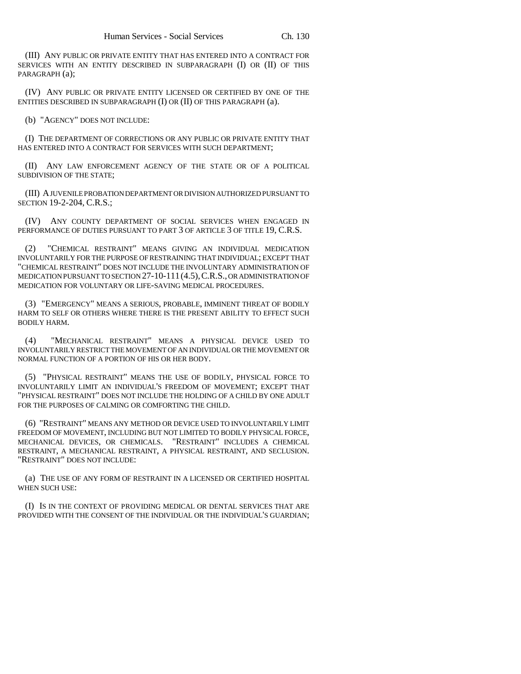(III) ANY PUBLIC OR PRIVATE ENTITY THAT HAS ENTERED INTO A CONTRACT FOR SERVICES WITH AN ENTITY DESCRIBED IN SUBPARAGRAPH (I) OR (II) OF THIS PARAGRAPH (a);

(IV) ANY PUBLIC OR PRIVATE ENTITY LICENSED OR CERTIFIED BY ONE OF THE ENTITIES DESCRIBED IN SUBPARAGRAPH (I) OR (II) OF THIS PARAGRAPH (a).

(b) "AGENCY" DOES NOT INCLUDE:

(I) THE DEPARTMENT OF CORRECTIONS OR ANY PUBLIC OR PRIVATE ENTITY THAT HAS ENTERED INTO A CONTRACT FOR SERVICES WITH SUCH DEPARTMENT;

(II) ANY LAW ENFORCEMENT AGENCY OF THE STATE OR OF A POLITICAL SUBDIVISION OF THE STATE;

(III) A JUVENILE PROBATION DEPARTMENT OR DIVISION AUTHORIZED PURSUANT TO SECTION 19-2-204, C.R.S.;

(IV) ANY COUNTY DEPARTMENT OF SOCIAL SERVICES WHEN ENGAGED IN PERFORMANCE OF DUTIES PURSUANT TO PART 3 OF ARTICLE 3 OF TITLE 19, C.R.S.

(2) "CHEMICAL RESTRAINT" MEANS GIVING AN INDIVIDUAL MEDICATION INVOLUNTARILY FOR THE PURPOSE OF RESTRAINING THAT INDIVIDUAL; EXCEPT THAT "CHEMICAL RESTRAINT" DOES NOT INCLUDE THE INVOLUNTARY ADMINISTRATION OF MEDICATION PURSUANT TO SECTION 27-10-111(4.5),C.R.S., OR ADMINISTRATION OF MEDICATION FOR VOLUNTARY OR LIFE-SAVING MEDICAL PROCEDURES.

(3) "EMERGENCY" MEANS A SERIOUS, PROBABLE, IMMINENT THREAT OF BODILY HARM TO SELF OR OTHERS WHERE THERE IS THE PRESENT ABILITY TO EFFECT SUCH BODILY HARM.

(4) "MECHANICAL RESTRAINT" MEANS A PHYSICAL DEVICE USED TO INVOLUNTARILY RESTRICT THE MOVEMENT OF AN INDIVIDUAL OR THE MOVEMENT OR NORMAL FUNCTION OF A PORTION OF HIS OR HER BODY.

(5) "PHYSICAL RESTRAINT" MEANS THE USE OF BODILY, PHYSICAL FORCE TO INVOLUNTARILY LIMIT AN INDIVIDUAL'S FREEDOM OF MOVEMENT; EXCEPT THAT "PHYSICAL RESTRAINT" DOES NOT INCLUDE THE HOLDING OF A CHILD BY ONE ADULT FOR THE PURPOSES OF CALMING OR COMFORTING THE CHILD.

(6) "RESTRAINT" MEANS ANY METHOD OR DEVICE USED TO INVOLUNTARILY LIMIT FREEDOM OF MOVEMENT, INCLUDING BUT NOT LIMITED TO BODILY PHYSICAL FORCE, MECHANICAL DEVICES, OR CHEMICALS. "RESTRAINT" INCLUDES A CHEMICAL RESTRAINT, A MECHANICAL RESTRAINT, A PHYSICAL RESTRAINT, AND SECLUSION. "RESTRAINT" DOES NOT INCLUDE:

(a) THE USE OF ANY FORM OF RESTRAINT IN A LICENSED OR CERTIFIED HOSPITAL WHEN SUCH USE:

(I) IS IN THE CONTEXT OF PROVIDING MEDICAL OR DENTAL SERVICES THAT ARE PROVIDED WITH THE CONSENT OF THE INDIVIDUAL OR THE INDIVIDUAL'S GUARDIAN;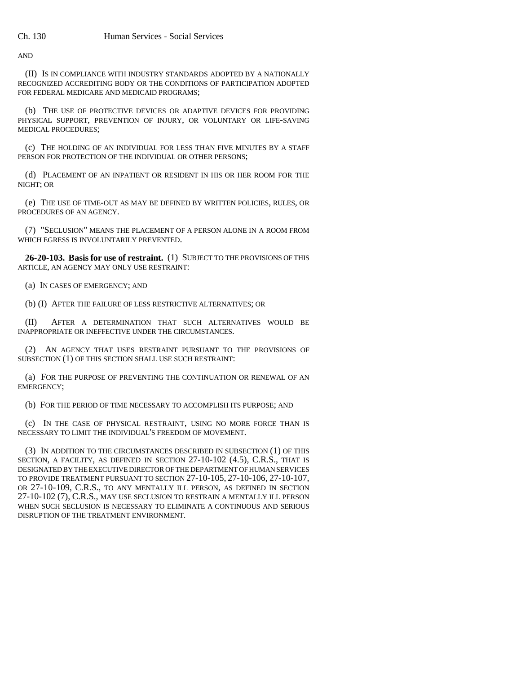AND

(II) IS IN COMPLIANCE WITH INDUSTRY STANDARDS ADOPTED BY A NATIONALLY RECOGNIZED ACCREDITING BODY OR THE CONDITIONS OF PARTICIPATION ADOPTED FOR FEDERAL MEDICARE AND MEDICAID PROGRAMS;

(b) THE USE OF PROTECTIVE DEVICES OR ADAPTIVE DEVICES FOR PROVIDING PHYSICAL SUPPORT, PREVENTION OF INJURY, OR VOLUNTARY OR LIFE-SAVING MEDICAL PROCEDURES;

(c) THE HOLDING OF AN INDIVIDUAL FOR LESS THAN FIVE MINUTES BY A STAFF PERSON FOR PROTECTION OF THE INDIVIDUAL OR OTHER PERSONS;

(d) PLACEMENT OF AN INPATIENT OR RESIDENT IN HIS OR HER ROOM FOR THE NIGHT; OR

(e) THE USE OF TIME-OUT AS MAY BE DEFINED BY WRITTEN POLICIES, RULES, OR PROCEDURES OF AN AGENCY.

(7) "SECLUSION" MEANS THE PLACEMENT OF A PERSON ALONE IN A ROOM FROM WHICH EGRESS IS INVOLUNTARILY PREVENTED.

**26-20-103. Basis for use of restraint.** (1) SUBJECT TO THE PROVISIONS OF THIS ARTICLE, AN AGENCY MAY ONLY USE RESTRAINT:

(a) IN CASES OF EMERGENCY; AND

(b) (I) AFTER THE FAILURE OF LESS RESTRICTIVE ALTERNATIVES; OR

(II) AFTER A DETERMINATION THAT SUCH ALTERNATIVES WOULD BE INAPPROPRIATE OR INEFFECTIVE UNDER THE CIRCUMSTANCES.

(2) AN AGENCY THAT USES RESTRAINT PURSUANT TO THE PROVISIONS OF SUBSECTION (1) OF THIS SECTION SHALL USE SUCH RESTRAINT:

(a) FOR THE PURPOSE OF PREVENTING THE CONTINUATION OR RENEWAL OF AN EMERGENCY;

(b) FOR THE PERIOD OF TIME NECESSARY TO ACCOMPLISH ITS PURPOSE; AND

(c) IN THE CASE OF PHYSICAL RESTRAINT, USING NO MORE FORCE THAN IS NECESSARY TO LIMIT THE INDIVIDUAL'S FREEDOM OF MOVEMENT.

(3) IN ADDITION TO THE CIRCUMSTANCES DESCRIBED IN SUBSECTION (1) OF THIS SECTION, A FACILITY, AS DEFINED IN SECTION 27-10-102 (4.5), C.R.S., THAT IS DESIGNATED BY THE EXECUTIVE DIRECTOR OF THE DEPARTMENT OF HUMAN SERVICES TO PROVIDE TREATMENT PURSUANT TO SECTION 27-10-105, 27-10-106, 27-10-107, OR 27-10-109, C.R.S., TO ANY MENTALLY ILL PERSON, AS DEFINED IN SECTION 27-10-102 (7), C.R.S., MAY USE SECLUSION TO RESTRAIN A MENTALLY ILL PERSON WHEN SUCH SECLUSION IS NECESSARY TO ELIMINATE A CONTINUOUS AND SERIOUS DISRUPTION OF THE TREATMENT ENVIRONMENT.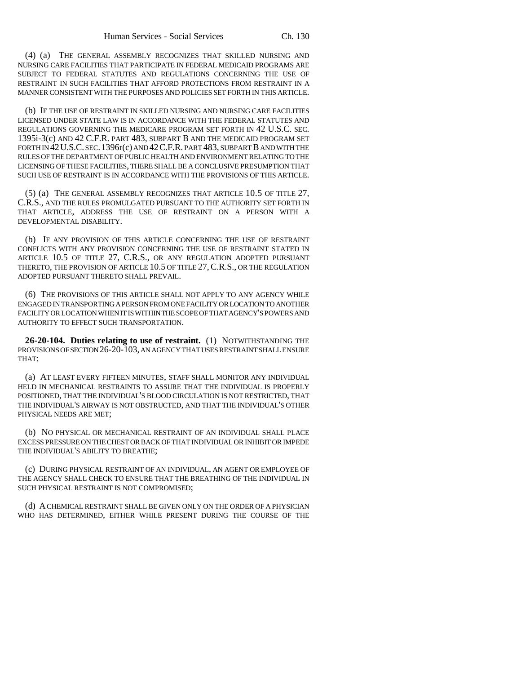(4) (a) THE GENERAL ASSEMBLY RECOGNIZES THAT SKILLED NURSING AND NURSING CARE FACILITIES THAT PARTICIPATE IN FEDERAL MEDICAID PROGRAMS ARE SUBJECT TO FEDERAL STATUTES AND REGULATIONS CONCERNING THE USE OF RESTRAINT IN SUCH FACILITIES THAT AFFORD PROTECTIONS FROM RESTRAINT IN A MANNER CONSISTENT WITH THE PURPOSES AND POLICIES SET FORTH IN THIS ARTICLE.

(b) IF THE USE OF RESTRAINT IN SKILLED NURSING AND NURSING CARE FACILITIES LICENSED UNDER STATE LAW IS IN ACCORDANCE WITH THE FEDERAL STATUTES AND REGULATIONS GOVERNING THE MEDICARE PROGRAM SET FORTH IN 42 U.S.C. SEC. 1395i-3(c) AND 42 C.F.R. PART 483, SUBPART B AND THE MEDICAID PROGRAM SET FORTH IN 42U.S.C. SEC.1396r(c) AND 42C.F.R. PART 483, SUBPART B AND WITH THE RULES OF THE DEPARTMENT OF PUBLIC HEALTH AND ENVIRONMENT RELATING TO THE LICENSING OF THESE FACILITIES, THERE SHALL BE A CONCLUSIVE PRESUMPTION THAT SUCH USE OF RESTRAINT IS IN ACCORDANCE WITH THE PROVISIONS OF THIS ARTICLE.

(5) (a) THE GENERAL ASSEMBLY RECOGNIZES THAT ARTICLE 10.5 OF TITLE 27, C.R.S., AND THE RULES PROMULGATED PURSUANT TO THE AUTHORITY SET FORTH IN THAT ARTICLE, ADDRESS THE USE OF RESTRAINT ON A PERSON WITH A DEVELOPMENTAL DISABILITY.

(b) IF ANY PROVISION OF THIS ARTICLE CONCERNING THE USE OF RESTRAINT CONFLICTS WITH ANY PROVISION CONCERNING THE USE OF RESTRAINT STATED IN ARTICLE 10.5 OF TITLE 27, C.R.S., OR ANY REGULATION ADOPTED PURSUANT THERETO, THE PROVISION OF ARTICLE 10.5 OF TITLE 27,C.R.S., OR THE REGULATION ADOPTED PURSUANT THERETO SHALL PREVAIL.

(6) THE PROVISIONS OF THIS ARTICLE SHALL NOT APPLY TO ANY AGENCY WHILE ENGAGED IN TRANSPORTING A PERSON FROM ONE FACILITY OR LOCATION TO ANOTHER FACILITY OR LOCATION WHEN IT IS WITHIN THE SCOPE OF THAT AGENCY'S POWERS AND AUTHORITY TO EFFECT SUCH TRANSPORTATION.

**26-20-104. Duties relating to use of restraint.** (1) NOTWITHSTANDING THE PROVISIONS OF SECTION 26-20-103, AN AGENCY THAT USES RESTRAINT SHALL ENSURE THAT:

(a) AT LEAST EVERY FIFTEEN MINUTES, STAFF SHALL MONITOR ANY INDIVIDUAL HELD IN MECHANICAL RESTRAINTS TO ASSURE THAT THE INDIVIDUAL IS PROPERLY POSITIONED, THAT THE INDIVIDUAL'S BLOOD CIRCULATION IS NOT RESTRICTED, THAT THE INDIVIDUAL'S AIRWAY IS NOT OBSTRUCTED, AND THAT THE INDIVIDUAL'S OTHER PHYSICAL NEEDS ARE MET;

(b) NO PHYSICAL OR MECHANICAL RESTRAINT OF AN INDIVIDUAL SHALL PLACE EXCESS PRESSURE ON THE CHEST OR BACK OF THAT INDIVIDUAL OR INHIBIT OR IMPEDE THE INDIVIDUAL'S ABILITY TO BREATHE;

(c) DURING PHYSICAL RESTRAINT OF AN INDIVIDUAL, AN AGENT OR EMPLOYEE OF THE AGENCY SHALL CHECK TO ENSURE THAT THE BREATHING OF THE INDIVIDUAL IN SUCH PHYSICAL RESTRAINT IS NOT COMPROMISED;

(d) A CHEMICAL RESTRAINT SHALL BE GIVEN ONLY ON THE ORDER OF A PHYSICIAN WHO HAS DETERMINED, EITHER WHILE PRESENT DURING THE COURSE OF THE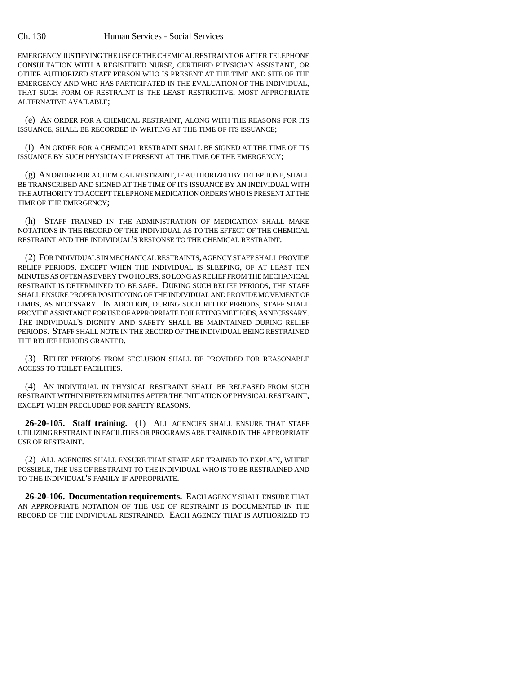## Ch. 130 Human Services - Social Services

EMERGENCY JUSTIFYING THE USE OF THE CHEMICAL RESTRAINT OR AFTER TELEPHONE CONSULTATION WITH A REGISTERED NURSE, CERTIFIED PHYSICIAN ASSISTANT, OR OTHER AUTHORIZED STAFF PERSON WHO IS PRESENT AT THE TIME AND SITE OF THE EMERGENCY AND WHO HAS PARTICIPATED IN THE EVALUATION OF THE INDIVIDUAL, THAT SUCH FORM OF RESTRAINT IS THE LEAST RESTRICTIVE, MOST APPROPRIATE ALTERNATIVE AVAILABLE;

(e) AN ORDER FOR A CHEMICAL RESTRAINT, ALONG WITH THE REASONS FOR ITS ISSUANCE, SHALL BE RECORDED IN WRITING AT THE TIME OF ITS ISSUANCE;

(f) AN ORDER FOR A CHEMICAL RESTRAINT SHALL BE SIGNED AT THE TIME OF ITS ISSUANCE BY SUCH PHYSICIAN IF PRESENT AT THE TIME OF THE EMERGENCY;

(g) AN ORDER FOR A CHEMICAL RESTRAINT, IF AUTHORIZED BY TELEPHONE, SHALL BE TRANSCRIBED AND SIGNED AT THE TIME OF ITS ISSUANCE BY AN INDIVIDUAL WITH THE AUTHORITY TO ACCEPT TELEPHONE MEDICATION ORDERS WHO IS PRESENT AT THE TIME OF THE EMERGENCY;

(h) STAFF TRAINED IN THE ADMINISTRATION OF MEDICATION SHALL MAKE NOTATIONS IN THE RECORD OF THE INDIVIDUAL AS TO THE EFFECT OF THE CHEMICAL RESTRAINT AND THE INDIVIDUAL'S RESPONSE TO THE CHEMICAL RESTRAINT.

(2) FOR INDIVIDUALS IN MECHANICAL RESTRAINTS, AGENCY STAFF SHALL PROVIDE RELIEF PERIODS, EXCEPT WHEN THE INDIVIDUAL IS SLEEPING, OF AT LEAST TEN MINUTES AS OFTEN AS EVERY TWO HOURS, SO LONG AS RELIEF FROM THE MECHANICAL RESTRAINT IS DETERMINED TO BE SAFE. DURING SUCH RELIEF PERIODS, THE STAFF SHALL ENSURE PROPER POSITIONING OF THE INDIVIDUAL AND PROVIDE MOVEMENT OF LIMBS, AS NECESSARY. IN ADDITION, DURING SUCH RELIEF PERIODS, STAFF SHALL PROVIDE ASSISTANCE FOR USE OF APPROPRIATE TOILETTING METHODS, AS NECESSARY. THE INDIVIDUAL'S DIGNITY AND SAFETY SHALL BE MAINTAINED DURING RELIEF PERIODS. STAFF SHALL NOTE IN THE RECORD OF THE INDIVIDUAL BEING RESTRAINED THE RELIEF PERIODS GRANTED.

(3) RELIEF PERIODS FROM SECLUSION SHALL BE PROVIDED FOR REASONABLE ACCESS TO TOILET FACILITIES.

(4) AN INDIVIDUAL IN PHYSICAL RESTRAINT SHALL BE RELEASED FROM SUCH RESTRAINT WITHIN FIFTEEN MINUTES AFTER THE INITIATION OF PHYSICAL RESTRAINT, EXCEPT WHEN PRECLUDED FOR SAFETY REASONS.

**26-20-105. Staff training.** (1) ALL AGENCIES SHALL ENSURE THAT STAFF UTILIZING RESTRAINT IN FACILITIES OR PROGRAMS ARE TRAINED IN THE APPROPRIATE USE OF RESTRAINT.

(2) ALL AGENCIES SHALL ENSURE THAT STAFF ARE TRAINED TO EXPLAIN, WHERE POSSIBLE, THE USE OF RESTRAINT TO THE INDIVIDUAL WHO IS TO BE RESTRAINED AND TO THE INDIVIDUAL'S FAMILY IF APPROPRIATE.

**26-20-106. Documentation requirements.** EACH AGENCY SHALL ENSURE THAT AN APPROPRIATE NOTATION OF THE USE OF RESTRAINT IS DOCUMENTED IN THE RECORD OF THE INDIVIDUAL RESTRAINED. EACH AGENCY THAT IS AUTHORIZED TO